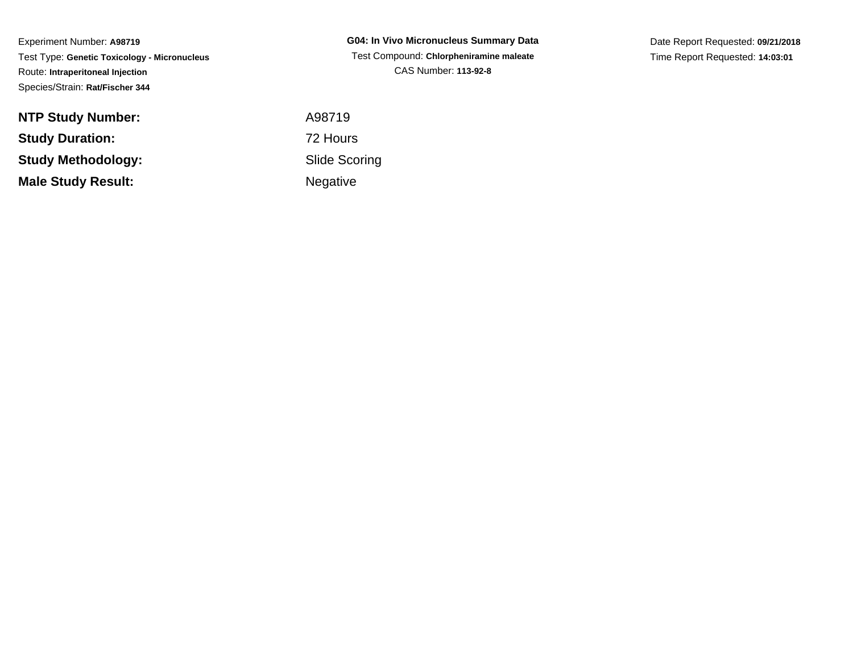Experiment Number: **A98719** Test Type: **Genetic Toxicology - Micronucleus**Route: **Intraperitoneal Injection**Species/Strain: **Rat/Fischer 344**

**NTP Study Number:Study Duration:Study Methodology:Male Study Result:**

**G04: In Vivo Micronucleus Summary Data** Test Compound: **Chlorpheniramine maleate**CAS Number: **113-92-8**

 A98719 72 Hours Slide ScoringNegative

Date Report Requested: **09/21/2018**Time Report Requested: **14:03:01**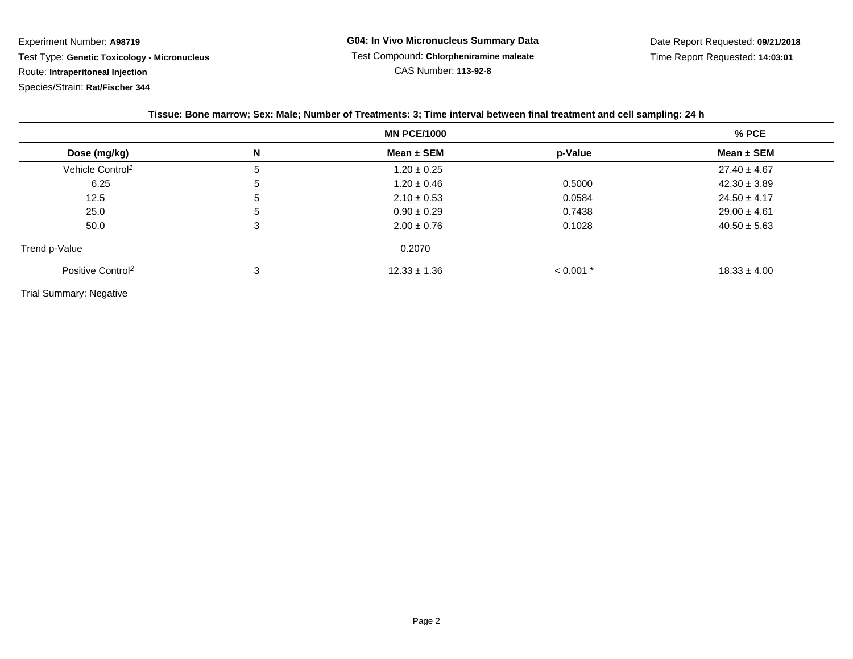Experiment Number: **A98719** Test Type: **Genetic Toxicology - Micronucleus**Route: **Intraperitoneal Injection**

Species/Strain: **Rat/Fischer 344**

| Tissue: Bone marrow; Sex: Male; Number of Treatments: 3; Time interval between final treatment and cell sampling: 24 h |   |                  |             |                  |
|------------------------------------------------------------------------------------------------------------------------|---|------------------|-------------|------------------|
| <b>MN PCE/1000</b>                                                                                                     |   |                  |             | $%$ PCE          |
| Dose (mg/kg)                                                                                                           | N | Mean $\pm$ SEM   | p-Value     | Mean $\pm$ SEM   |
| Vehicle Control <sup>1</sup>                                                                                           | 5 | $1.20 \pm 0.25$  |             | $27.40 \pm 4.67$ |
| 6.25                                                                                                                   | 5 | $1.20 \pm 0.46$  | 0.5000      | $42.30 \pm 3.89$ |
| 12.5                                                                                                                   | 5 | $2.10 \pm 0.53$  | 0.0584      | $24.50 \pm 4.17$ |
| 25.0                                                                                                                   | 5 | $0.90 \pm 0.29$  | 0.7438      | $29.00 \pm 4.61$ |
| 50.0                                                                                                                   | 3 | $2.00 \pm 0.76$  | 0.1028      | $40.50 \pm 5.63$ |
| Trend p-Value                                                                                                          |   | 0.2070           |             |                  |
| Positive Control <sup>2</sup>                                                                                          | 3 | $12.33 \pm 1.36$ | $< 0.001$ * | $18.33 \pm 4.00$ |
| <b>Trial Summary: Negative</b>                                                                                         |   |                  |             |                  |